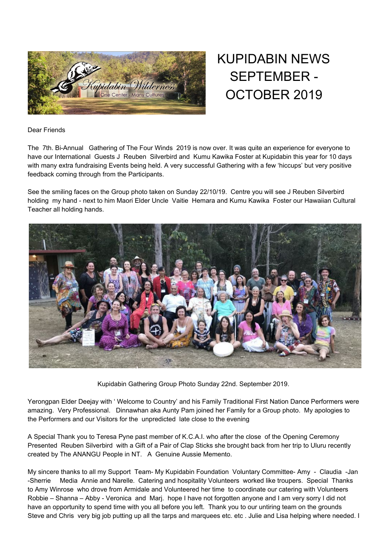

KUPIDABIN NEWS SEPTEMBER - OCTOBER 2019

Dear Friends

The 7th. Bi-Annual Gathering of The Four Winds 2019 is now over. It was quite an experience for everyone to have our International Guests J Reuben Silverbird and Kumu Kawika Foster at Kupidabin this year for 10 days with many extra fundraising Events being held. A very successful Gathering with a few 'hiccups' but very positive feedback coming through from the Participants.

See the smiling faces on the Group photo taken on Sunday 22/10/19. Centre you will see J Reuben Silverbird holding my hand - next to him Maori Elder Uncle Vaitie Hemara and Kumu Kawika Foster our Hawaiian Cultural Teacher all holding hands.



Kupidabin Gathering Group Photo Sunday 22nd. September 2019.

Yerongpan Elder Deejay with ' Welcome to Country' and his Family Traditional First Nation Dance Performers were amazing. Very Professional. Dinnawhan aka Aunty Pam joined her Family for a Group photo. My apologies to the Performers and our Visitors for the unpredicted late close to the evening

A Special Thank you to Teresa Pyne past member of K.C.A.I. who after the close of the Opening Ceremony Presented Reuben Silverbird with a Gift of a Pair of Clap Sticks she brought back from her trip to Uluru recently created by The ANANGU People in NT. A Genuine Aussie Memento.

My sincere thanks to all my Support Team- My Kupidabin Foundation Voluntary Committee- Amy - Claudia -Jan -Sherrie Media Annie and Narelle. Catering and hospitality Volunteers worked like troupers. Special Thanks to Amy Winrose who drove from Armidale and Volunteered her time to coordinate our catering with Volunteers Robbie – Shanna – Abby - Veronica and Marj. hope I have not forgotten anyone and I am very sorry I did not have an opportunity to spend time with you all before you left. Thank you to our untiring team on the grounds Steve and Chris very big job putting up all the tarps and marquees etc. etc . Julie and Lisa helping where needed. I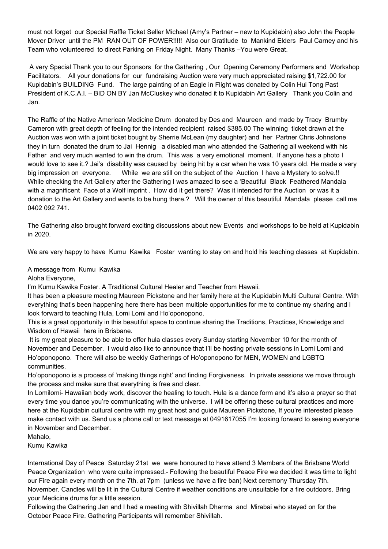must not forget our Special Raffle Ticket Seller Michael (Amy's Partner – new to Kupidabin) also John the People Mover Driver until the PM RAN OUT OF POWER!!!!! Also our Gratitude to Mankind Elders Paul Carney and his Team who volunteered to direct Parking on Friday Night. Many Thanks –You were Great.

A very Special Thank you to our Sponsors for the Gathering , Our Opening Ceremony Performers and Workshop Facilitators. All your donations for our fundraising Auction were very much appreciated raising \$1,722.00 for Kupidabin's BUILDING Fund. The large painting of an Eagle in Flight was donated by Colin Hui Tong Past President of K.C.A.I. – BID ON BY Jan McCluskey who donated it to Kupidabin Art Gallery Thank you Colin and Jan.

The Raffle of the Native American Medicine Drum donated by Des and Maureen and made by Tracy Brumby Cameron with great depth of feeling for the intended recipient raised \$385.00 The winning ticket drawn at the Auction was won with a joint ticket bought by Sherrie McLean (my daughter) and her Partner Chris Johnstone they in turn donated the drum to Jai Hennig a disabled man who attended the Gathering all weekend with his Father and very much wanted to win the drum. This was a very emotional moment. If anyone has a photo I would love to see it.? Jai's disability was caused by being hit by a car when he was 10 years old. He made a very big impression on everyone. While we are still on the subject of the Auction I have a Mystery to solve.!! While checking the Art Gallery after the Gathering I was amazed to see a 'Beautiful Black Feathered Mandala with a magnificent Face of a Wolf imprint . How did it get there? Was it intended for the Auction or was it a donation to the Art Gallery and wants to be hung there.? Will the owner of this beautiful Mandala please call me 0402 092 741.

The Gathering also brought forward exciting discussions about new Events and workshops to be held at Kupidabin in 2020.

We are very happy to have Kumu Kawika Foster wanting to stay on and hold his teaching classes at Kupidabin.

## A message from Kumu Kawika

Aloha Everyone,

I'm Kumu Kawika Foster. A Traditional Cultural Healer and Teacher from Hawaii.

It has been a pleasure meeting Maureen Pickstone and her family here at the Kupidabin Multi Cultural Centre. With everything that's been happening here there has been multiple opportunities for me to continue my sharing and I look forward to teaching Hula, Lomi Lomi and Ho'oponopono.

This is a great opportunity in this beautiful space to continue sharing the Traditions, Practices, Knowledge and Wisdom of Hawaii here in Brisbane.

It is my great pleasure to be able to offer hula classes every Sunday starting November 10 for the month of November and December. I would also like to announce that I'll be hosting private sessions in Lomi Lomi and Ho'oponopono. There will also be weekly Gatherings of Ho'oponopono for MEN, WOMEN and LGBTQ communities.

Ho'oponopono is a process of 'making things right' and finding Forgiveness. In private sessions we move through the process and make sure that everything is free and clear.

In Lomilomi- Hawaiian body work, discover the healing to touch. Hula is a dance form and it's also a prayer so that every time you dance you're communicating with the universe. I will be offering these cultural practices and more here at the Kupidabin cultural centre with my great host and guide Maureen Pickstone, If you're interested please make contact with us. Send us a phone call or text message at 0491617055 I'm looking forward to seeing everyone in November and December.

Mahalo,

Kumu Kawika

International Day of Peace Saturday 21st we were honoured to have attend 3 Members of the Brisbane World Peace Organization who were quite impressed.- Following the beautiful Peace Fire we decided it was time to light our Fire again every month on the 7th. at 7pm (unless we have a fire ban) Next ceremony Thursday 7th. November. Candles will be lit in the Cultural Centre if weather conditions are unsuitable for a fire outdoors. Bring your Medicine drums for a little session.

Following the Gathering Jan and I had a meeting with Shivillah Dharma and Mirabai who stayed on for the October Peace Fire. Gathering Participants will remember Shivillah.